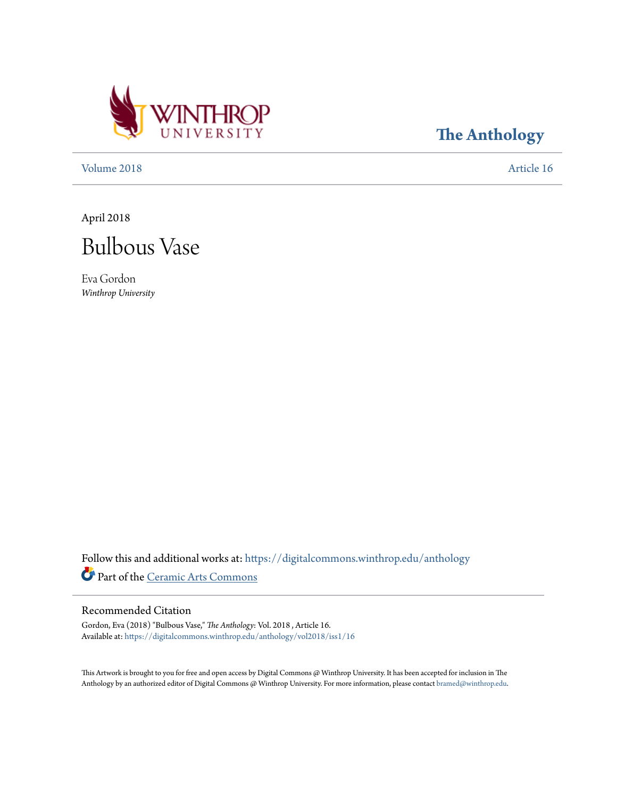

**[The Anthology](https://digitalcommons.winthrop.edu/anthology?utm_source=digitalcommons.winthrop.edu%2Fanthology%2Fvol2018%2Fiss1%2F16&utm_medium=PDF&utm_campaign=PDFCoverPages)**

[Volume 2018](https://digitalcommons.winthrop.edu/anthology/vol2018?utm_source=digitalcommons.winthrop.edu%2Fanthology%2Fvol2018%2Fiss1%2F16&utm_medium=PDF&utm_campaign=PDFCoverPages) **[Article 16](https://digitalcommons.winthrop.edu/anthology/vol2018/iss1/16?utm_source=digitalcommons.winthrop.edu%2Fanthology%2Fvol2018%2Fiss1%2F16&utm_medium=PDF&utm_campaign=PDFCoverPages)** 

April 2018



Eva Gordon *Winthrop University*

Follow this and additional works at: [https://digitalcommons.winthrop.edu/anthology](https://digitalcommons.winthrop.edu/anthology?utm_source=digitalcommons.winthrop.edu%2Fanthology%2Fvol2018%2Fiss1%2F16&utm_medium=PDF&utm_campaign=PDFCoverPages) Part of the [Ceramic Arts Commons](http://network.bepress.com/hgg/discipline/1336?utm_source=digitalcommons.winthrop.edu%2Fanthology%2Fvol2018%2Fiss1%2F16&utm_medium=PDF&utm_campaign=PDFCoverPages)

## Recommended Citation

Gordon, Eva (2018) "Bulbous Vase," *The Anthology*: Vol. 2018 , Article 16. Available at: [https://digitalcommons.winthrop.edu/anthology/vol2018/iss1/16](https://digitalcommons.winthrop.edu/anthology/vol2018/iss1/16?utm_source=digitalcommons.winthrop.edu%2Fanthology%2Fvol2018%2Fiss1%2F16&utm_medium=PDF&utm_campaign=PDFCoverPages)

This Artwork is brought to you for free and open access by Digital Commons @ Winthrop University. It has been accepted for inclusion in The Anthology by an authorized editor of Digital Commons @ Winthrop University. For more information, please contact [bramed@winthrop.edu](mailto:bramed@winthrop.edu).